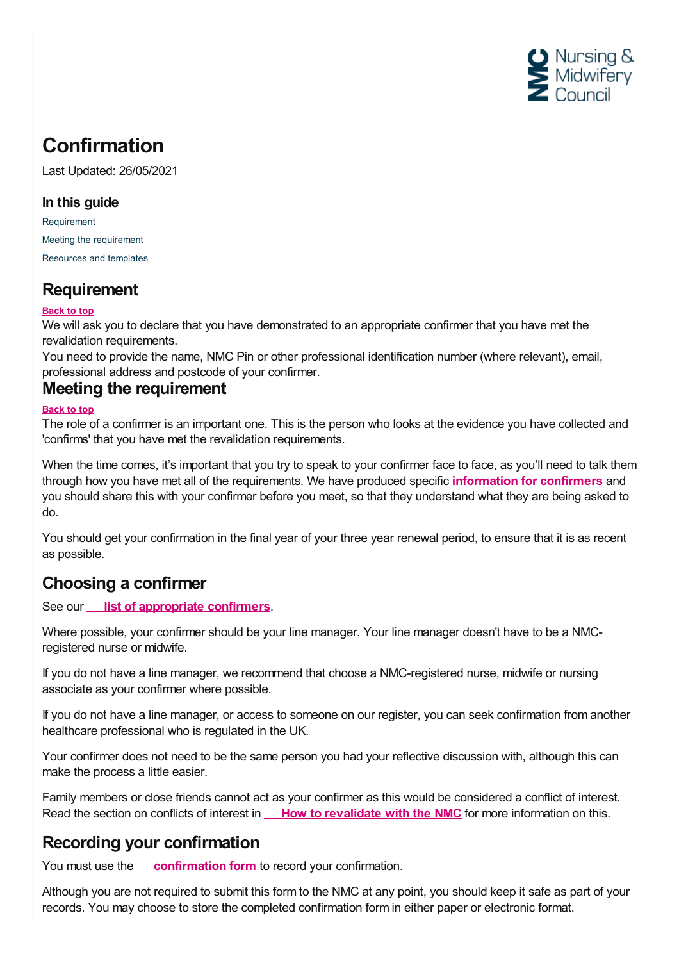

# **Confirmation**

Last Updated: 26/05/2021

### **In this guide**

[Requirement](#page-0-0) Meeting the [requirement](#page-0-1) [Resources](#page-1-0) and templates

## <span id="page-0-0"></span>**Requirement**

#### **Back to top**

We will ask you to declare that you have demonstrated to an appropriate confirmer that you have met the revalidation requirements.

You need to provide the name, NMC Pin or other professional identification number (where relevant), email, professional address and postcode of your confirmer. **Meeting the requirement**

#### <span id="page-0-1"></span>**Back to top**

The role of a confirmer is an important one. This is the person who looks at the evidence you have collected and 'confirms' that you have met the revalidation requirements.

When the time comes, it's important that you try to speak to your confirmer face to face, as you'll need to talk them through how you have met all of the requirements. We have produced specific **[information](https://www.nmc.org.uk/revalidation/confirmers-and-employers/confirmers/) for confirmers** and you should share this with your confirmer before you meet, so that they understand what they are being asked to do.

You should get your confirmation in the final year of your three year renewal period, to ensure that it is as recent as possible.

## **Choosing a confirmer**

See our **list of [appropriate](https://www.nmc.org.uk/globalassets/sitedocuments/revalidation/list-of-confirmers-revalidation.pdf) confirmers**.

Where possible, your confirmer should be your line manager. Your line manager doesn't have to be a NMCregistered nurse or midwife.

If you do not have a line manager, we recommend that choose a NMC-registered nurse, midwife or nursing associate as your confirmer where possible.

If you do not have a line manager, or access to someone on our register, you can seek confirmation from another healthcare professional who is regulated in the UK.

Your confirmer does not need to be the same person you had your reflective discussion with, although this can make the process a little easier.

Family members or close friends cannot act as your confirmer as this would be considered a conflict of interest. Read the section on conflicts of interest in **How to [revalidate](https://www.nmc.org.uk/globalassets/sitedocuments/revalidation/how-to-revalidate-booklet.pdf#page=15) with the NMC** for more information on this.

## **Recording your confirmation**

You must use the **[confirmation](https://www.nmc.org.uk/globalassets/sitedocuments/revalidation/confirmation-form.doc) form** to record your confirmation.

Although you are not required to submit this form to the NMC at any point, you should keep it safe as part of your records. You may choose to store the completed confirmation form in either paper or electronic format.